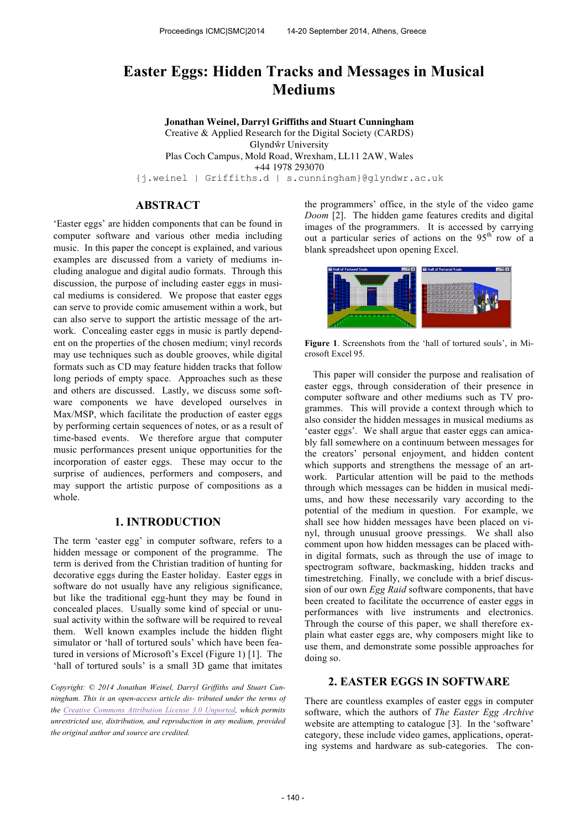# **Easter Eggs: Hidden Tracks and Messages in Musical Mediums**

**Jonathan Weinel, Darryl Griffiths and Stuart Cunningham** Creative & Applied Research for the Digital Society (CARDS) Glyndŵr University Plas Coch Campus, Mold Road, Wrexham, LL11 2AW, Wales +44 1978 293070 {j.weinel | Griffiths.d | s.cunningham}@glyndwr.ac.uk

### **ABSTRACT**

'Easter eggs' are hidden components that can be found in computer software and various other media including music. In this paper the concept is explained, and various examples are discussed from a variety of mediums including analogue and digital audio formats. Through this discussion, the purpose of including easter eggs in musical mediums is considered. We propose that easter eggs can serve to provide comic amusement within a work, but can also serve to support the artistic message of the artwork. Concealing easter eggs in music is partly dependent on the properties of the chosen medium; vinyl records may use techniques such as double grooves, while digital formats such as CD may feature hidden tracks that follow long periods of empty space. Approaches such as these and others are discussed. Lastly, we discuss some software components we have developed ourselves in Max/MSP, which facilitate the production of easter eggs by performing certain sequences of notes, or as a result of time-based events. We therefore argue that computer music performances present unique opportunities for the incorporation of easter eggs. These may occur to the surprise of audiences, performers and composers, and may support the artistic purpose of compositions as a whole.

## **1. INTRODUCTION**

The term 'easter egg' in computer software, refers to a hidden message or component of the programme. The term is derived from the Christian tradition of hunting for decorative eggs during the Easter holiday. Easter eggs in software do not usually have any religious significance, but like the traditional egg-hunt they may be found in concealed places. Usually some kind of special or unusual activity within the software will be required to reveal them. Well known examples include the hidden flight simulator or 'hall of tortured souls' which have been featured in versions of Microsoft's Excel (Figure 1) [1]. The 'hall of tortured souls' is a small 3D game that imitates

*Copyright: © 2014 Jonathan Weinel, Darryl Griffiths and Stuart Cunningham. This is an open-access article dis- tributed under the terms of the Creative Commons Attribution License 3.0 Unported, which permits unrestricted use, distribution, and reproduction in any medium, provided the original author and source are credited.*

the programmers' office, in the style of the video game *Doom* [2]. The hidden game features credits and digital images of the programmers. It is accessed by carrying out a particular series of actions on the  $95<sup>th</sup>$  row of a blank spreadsheet upon opening Excel.



**Figure 1**. Screenshots from the 'hall of tortured souls', in Microsoft Excel 95.

This paper will consider the purpose and realisation of easter eggs, through consideration of their presence in computer software and other mediums such as TV programmes. This will provide a context through which to also consider the hidden messages in musical mediums as 'easter eggs'. We shall argue that easter eggs can amicably fall somewhere on a continuum between messages for the creators' personal enjoyment, and hidden content which supports and strengthens the message of an artwork. Particular attention will be paid to the methods through which messages can be hidden in musical mediums, and how these necessarily vary according to the potential of the medium in question. For example, we shall see how hidden messages have been placed on vinyl, through unusual groove pressings. We shall also comment upon how hidden messages can be placed within digital formats, such as through the use of image to spectrogram software, backmasking, hidden tracks and timestretching. Finally, we conclude with a brief discussion of our own *Egg Raid* software components, that have been created to facilitate the occurrence of easter eggs in performances with live instruments and electronics. Through the course of this paper, we shall therefore explain what easter eggs are, why composers might like to use them, and demonstrate some possible approaches for doing so.

### **2. EASTER EGGS IN SOFTWARE**

There are countless examples of easter eggs in computer software, which the authors of *The Easter Egg Archive*  website are attempting to catalogue [3]. In the 'software' category, these include video games, applications, operating systems and hardware as sub-categories. The con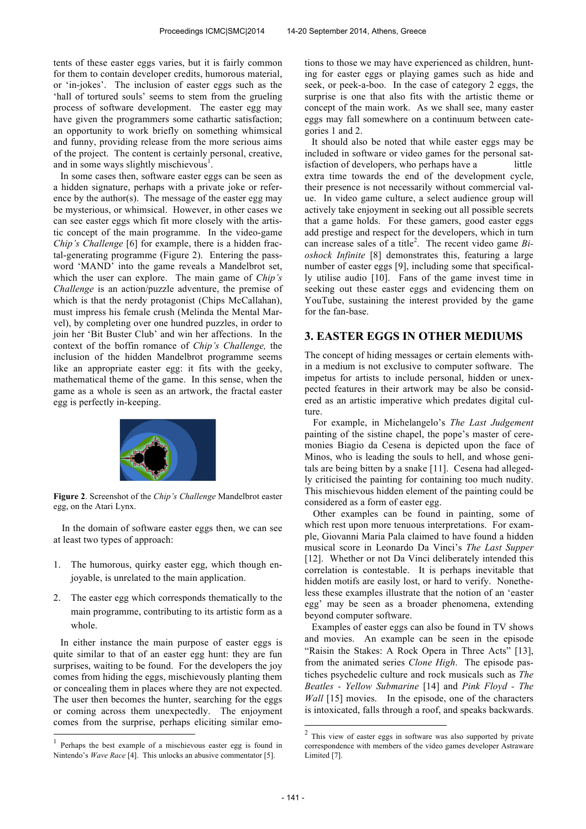tents of these easter eggs varies, but it is fairly common for them to contain developer credits, humorous material, or 'in-jokes'. The inclusion of easter eggs such as the 'hall of tortured souls' seems to stem from the grueling process of software development. The easter egg may have given the programmers some cathartic satisfaction; an opportunity to work briefly on something whimsical and funny, providing release from the more serious aims of the project. The content is certainly personal, creative, and in some ways slightly mischievous<sup>1</sup>.

In some cases then, software easter eggs can be seen as a hidden signature, perhaps with a private joke or reference by the author(s). The message of the easter egg may be mysterious, or whimsical. However, in other cases we can see easter eggs which fit more closely with the artistic concept of the main programme. In the video-game *Chip's Challenge* [6] for example, there is a hidden fractal-generating programme (Figure 2). Entering the password 'MAND' into the game reveals a Mandelbrot set, which the user can explore. The main game of *Chip's Challenge* is an action/puzzle adventure, the premise of which is that the nerdy protagonist (Chips McCallahan), must impress his female crush (Melinda the Mental Marvel), by completing over one hundred puzzles, in order to join her 'Bit Buster Club' and win her affections. In the context of the boffin romance of *Chip's Challenge,* the inclusion of the hidden Mandelbrot programme seems like an appropriate easter egg: it fits with the geeky, mathematical theme of the game. In this sense, when the game as a whole is seen as an artwork, the fractal easter egg is perfectly in-keeping.



**Figure 2**. Screenshot of the *Chip's Challenge* Mandelbrot easter egg, on the Atari Lynx.

In the domain of software easter eggs then, we can see at least two types of approach:

- 1. The humorous, quirky easter egg, which though enjoyable, is unrelated to the main application.
- 2. The easter egg which corresponds thematically to the main programme, contributing to its artistic form as a whole.

In either instance the main purpose of easter eggs is quite similar to that of an easter egg hunt: they are fun surprises, waiting to be found. For the developers the joy comes from hiding the eggs, mischievously planting them or concealing them in places where they are not expected. The user then becomes the hunter, searching for the eggs or coming across them unexpectedly. The enjoyment comes from the surprise, perhaps eliciting similar emo-

j

tions to those we may have experienced as children, hunting for easter eggs or playing games such as hide and seek, or peek-a-boo. In the case of category 2 eggs, the surprise is one that also fits with the artistic theme or concept of the main work. As we shall see, many easter eggs may fall somewhere on a continuum between categories 1 and 2.

It should also be noted that while easter eggs may be included in software or video games for the personal satisfaction of developers, who perhaps have a little extra time towards the end of the development cycle, their presence is not necessarily without commercial value. In video game culture, a select audience group will actively take enjoyment in seeking out all possible secrets that a game holds. For these gamers, good easter eggs add prestige and respect for the developers, which in turn can increase sales of a title<sup>2</sup>. The recent video game *Bioshock Infinite* [8] demonstrates this, featuring a large number of easter eggs [9], including some that specifically utilise audio [10]. Fans of the game invest time in seeking out these easter eggs and evidencing them on YouTube, sustaining the interest provided by the game for the fan-base.

### **3. EASTER EGGS IN OTHER MEDIUMS**

The concept of hiding messages or certain elements within a medium is not exclusive to computer software. The impetus for artists to include personal, hidden or unexpected features in their artwork may be also be considered as an artistic imperative which predates digital culture.

For example, in Michelangelo's *The Last Judgement*  painting of the sistine chapel, the pope's master of ceremonies Biagio da Cesena is depicted upon the face of Minos, who is leading the souls to hell, and whose genitals are being bitten by a snake [11]. Cesena had allegedly criticised the painting for containing too much nudity. This mischievous hidden element of the painting could be considered as a form of easter egg.

Other examples can be found in painting, some of which rest upon more tenuous interpretations. For example, Giovanni Maria Pala claimed to have found a hidden musical score in Leonardo Da Vinci's *The Last Supper*  [12]. Whether or not Da Vinci deliberately intended this correlation is contestable. It is perhaps inevitable that hidden motifs are easily lost, or hard to verify. Nonetheless these examples illustrate that the notion of an 'easter egg' may be seen as a broader phenomena, extending beyond computer software.

Examples of easter eggs can also be found in TV shows and movies. An example can be seen in the episode "Raisin the Stakes: A Rock Opera in Three Acts" [13], from the animated series *Clone High*. The episode pastiches psychedelic culture and rock musicals such as *The Beatles - Yellow Submarine* [14] and *Pink Floyd - The Wall* [15] movies. In the episode, one of the characters is intoxicated, falls through a roof, and speaks backwards.

<sup>1</sup> Perhaps the best example of a mischievous easter egg is found in Nintendo's *Wave Race* [4]. This unlocks an abusive commentator [5].

<sup>&</sup>lt;sup>2</sup> This view of easter eggs in software was also supported by private correspondence with members of the video games developer Astraware Limited [7].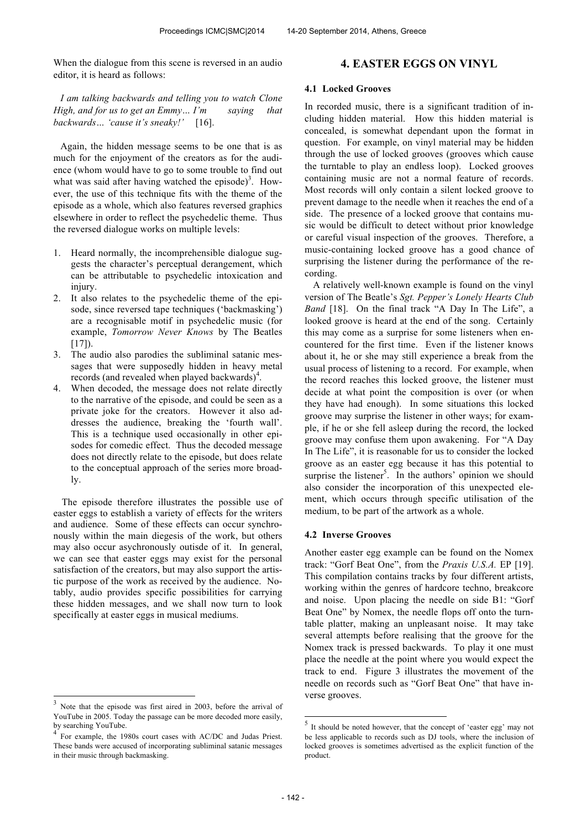When the dialogue from this scene is reversed in an audio editor, it is heard as follows:

*I am talking backwards and telling you to watch Clone High, and for us to get an Emmy… I'm saying that backwards… 'cause it's sneaky!'* [16].

Again, the hidden message seems to be one that is as much for the enjoyment of the creators as for the audience (whom would have to go to some trouble to find out what was said after having watched the episode)<sup>3</sup>. However, the use of this technique fits with the theme of the episode as a whole, which also features reversed graphics elsewhere in order to reflect the psychedelic theme. Thus the reversed dialogue works on multiple levels:

- 1. Heard normally, the incomprehensible dialogue suggests the character's perceptual derangement, which can be attributable to psychedelic intoxication and injury.
- 2. It also relates to the psychedelic theme of the episode, since reversed tape techniques ('backmasking') are a recognisable motif in psychedelic music (for example, *Tomorrow Never Knows* by The Beatles  $[17]$ ).
- 3. The audio also parodies the subliminal satanic messages that were supposedly hidden in heavy metal records (and revealed when played backwards)<sup>4</sup>.
- 4. When decoded, the message does not relate directly to the narrative of the episode, and could be seen as a private joke for the creators. However it also addresses the audience, breaking the 'fourth wall'. This is a technique used occasionally in other episodes for comedic effect. Thus the decoded message does not directly relate to the episode, but does relate to the conceptual approach of the series more broadly.

The episode therefore illustrates the possible use of easter eggs to establish a variety of effects for the writers and audience. Some of these effects can occur synchronously within the main diegesis of the work, but others may also occur asychronously outisde of it. In general, we can see that easter eggs may exist for the personal satisfaction of the creators, but may also support the artistic purpose of the work as received by the audience. Notably, audio provides specific possibilities for carrying these hidden messages, and we shall now turn to look specifically at easter eggs in musical mediums.

-

### **4. EASTER EGGS ON VINYL**

#### **4.1 Locked Grooves**

In recorded music, there is a significant tradition of including hidden material. How this hidden material is concealed, is somewhat dependant upon the format in question. For example, on vinyl material may be hidden through the use of locked grooves (grooves which cause the turntable to play an endless loop). Locked grooves containing music are not a normal feature of records. Most records will only contain a silent locked groove to prevent damage to the needle when it reaches the end of a side. The presence of a locked groove that contains music would be difficult to detect without prior knowledge or careful visual inspection of the grooves. Therefore, a music-containing locked groove has a good chance of surprising the listener during the performance of the recording.

A relatively well-known example is found on the vinyl version of The Beatle's *Sgt. Pepper's Lonely Hearts Club*  Band [18]. On the final track "A Day In The Life", a looked groove is heard at the end of the song. Certainly this may come as a surprise for some listeners when encountered for the first time. Even if the listener knows about it, he or she may still experience a break from the usual process of listening to a record. For example, when the record reaches this locked groove, the listener must decide at what point the composition is over (or when they have had enough). In some situations this locked groove may surprise the listener in other ways; for example, if he or she fell asleep during the record, the locked groove may confuse them upon awakening. For "A Day In The Life", it is reasonable for us to consider the locked groove as an easter egg because it has this potential to surprise the listener<sup>5</sup>. In the authors' opinion we should also consider the incorporation of this unexpected element, which occurs through specific utilisation of the medium, to be part of the artwork as a whole.

#### **4.2 Inverse Grooves**

Another easter egg example can be found on the Nomex track: "Gorf Beat One", from the *Praxis U.S.A.* EP [19]. This compilation contains tracks by four different artists, working within the genres of hardcore techno, breakcore and noise. Upon placing the needle on side B1: "Gorf Beat One" by Nomex, the needle flops off onto the turntable platter, making an unpleasant noise. It may take several attempts before realising that the groove for the Nomex track is pressed backwards. To play it one must place the needle at the point where you would expect the track to end. Figure 3 illustrates the movement of the needle on records such as "Gorf Beat One" that have inverse grooves.

<sup>3</sup> Note that the episode was first aired in 2003, before the arrival of YouTube in 2005. Today the passage can be more decoded more easily, by searching YouTube.<br><sup>4</sup> Expressed to 10

For example, the 1980s court cases with AC/DC and Judas Priest. These bands were accused of incorporating subliminal satanic messages in their music through backmasking.

<sup>&</sup>lt;sup>5</sup> It should be noted however, that the concept of 'easter egg' may not be less applicable to records such as DJ tools, where the inclusion of locked grooves is sometimes advertised as the explicit function of the product.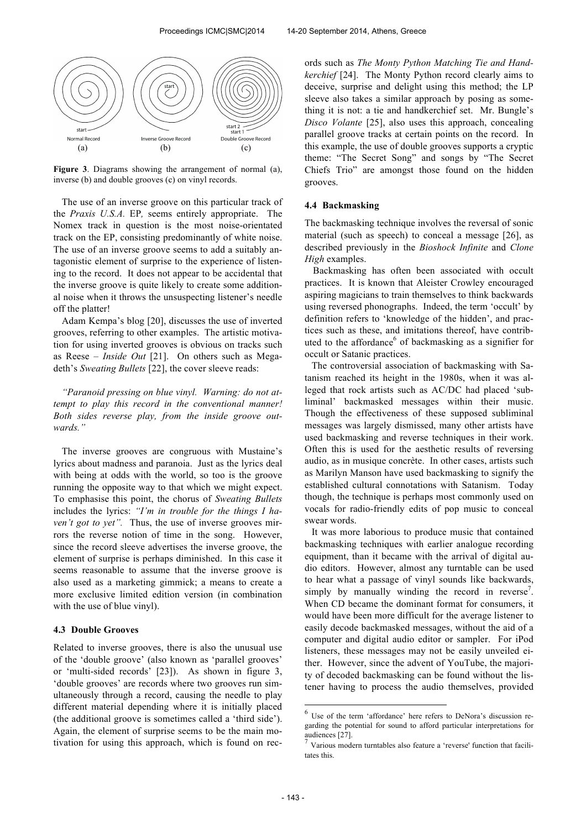

**Figure 3**. Diagrams showing the arrangement of normal (a), inverse (b) and double grooves (c) on vinyl records.

The use of an inverse groove on this particular track of the *Praxis U.S.A.* EP*,* seems entirely appropriate. The Nomex track in question is the most noise-orientated track on the EP, consisting predominantly of white noise. The use of an inverse groove seems to add a suitably antagonistic element of surprise to the experience of listening to the record. It does not appear to be accidental that the inverse groove is quite likely to create some additional noise when it throws the unsuspecting listener's needle off the platter!

Adam Kempa's blog [20], discusses the use of inverted grooves, referring to other examples. The artistic motivation for using inverted grooves is obvious on tracks such as Reese – *Inside Out* [21]. On others such as Megadeth's *Sweating Bullets* [22], the cover sleeve reads:

*"Paranoid pressing on blue vinyl. Warning: do not attempt to play this record in the conventional manner! Both sides reverse play, from the inside groove outwards."*

The inverse grooves are congruous with Mustaine's lyrics about madness and paranoia. Just as the lyrics deal with being at odds with the world, so too is the groove running the opposite way to that which we might expect. To emphasise this point, the chorus of *Sweating Bullets*  includes the lyrics: *"I'm in trouble for the things I haven't got to yet".* Thus, the use of inverse grooves mirrors the reverse notion of time in the song. However, since the record sleeve advertises the inverse groove, the element of surprise is perhaps diminished. In this case it seems reasonable to assume that the inverse groove is also used as a marketing gimmick; a means to create a more exclusive limited edition version (in combination with the use of blue vinyl).

#### **4.3 Double Grooves**

Related to inverse grooves, there is also the unusual use of the 'double groove' (also known as 'parallel grooves' or 'multi-sided records' [23]). As shown in figure 3, 'double grooves' are records where two grooves run simultaneously through a record, causing the needle to play different material depending where it is initially placed (the additional groove is sometimes called a 'third side'). Again, the element of surprise seems to be the main motivation for using this approach, which is found on records such as *The Monty Python Matching Tie and Handkerchief* [24]. The Monty Python record clearly aims to deceive, surprise and delight using this method; the LP sleeve also takes a similar approach by posing as something it is not: a tie and handkerchief set. Mr. Bungle's *Disco Volante* [25], also uses this approach, concealing parallel groove tracks at certain points on the record. In this example, the use of double grooves supports a cryptic theme: "The Secret Song" and songs by "The Secret Chiefs Trio" are amongst those found on the hidden grooves.

#### **4.4 Backmasking**

The backmasking technique involves the reversal of sonic material (such as speech) to conceal a message [26], as described previously in the *Bioshock Infinite* and *Clone High* examples.

Backmasking has often been associated with occult practices. It is known that Aleister Crowley encouraged aspiring magicians to train themselves to think backwards using reversed phonographs. Indeed, the term 'occult' by definition refers to 'knowledge of the hidden', and practices such as these, and imitations thereof, have contributed to the affordance<sup>6</sup> of backmasking as a signifier for occult or Satanic practices.

The controversial association of backmasking with Satanism reached its height in the 1980s, when it was alleged that rock artists such as AC/DC had placed 'subliminal' backmasked messages within their music. Though the effectiveness of these supposed subliminal messages was largely dismissed, many other artists have used backmasking and reverse techniques in their work. Often this is used for the aesthetic results of reversing audio, as in musique concrète. In other cases, artists such as Marilyn Manson have used backmasking to signify the established cultural connotations with Satanism. Today though, the technique is perhaps most commonly used on vocals for radio-friendly edits of pop music to conceal swear words.

It was more laborious to produce music that contained backmasking techniques with earlier analogue recording equipment, than it became with the arrival of digital audio editors. However, almost any turntable can be used to hear what a passage of vinyl sounds like backwards, simply by manually winding the record in reverse<sup>7</sup>. When CD became the dominant format for consumers, it would have been more difficult for the average listener to easily decode backmasked messages, without the aid of a computer and digital audio editor or sampler. For iPod listeners, these messages may not be easily unveiled either. However, since the advent of YouTube, the majority of decoded backmasking can be found without the listener having to process the audio themselves, provided

 6 Use of the term 'affordance' here refers to DeNora's discussion regarding the potential for sound to afford particular interpretations for audiences [27].

<sup>7</sup> Various modern turntables also feature a 'reverse' function that facilitates this.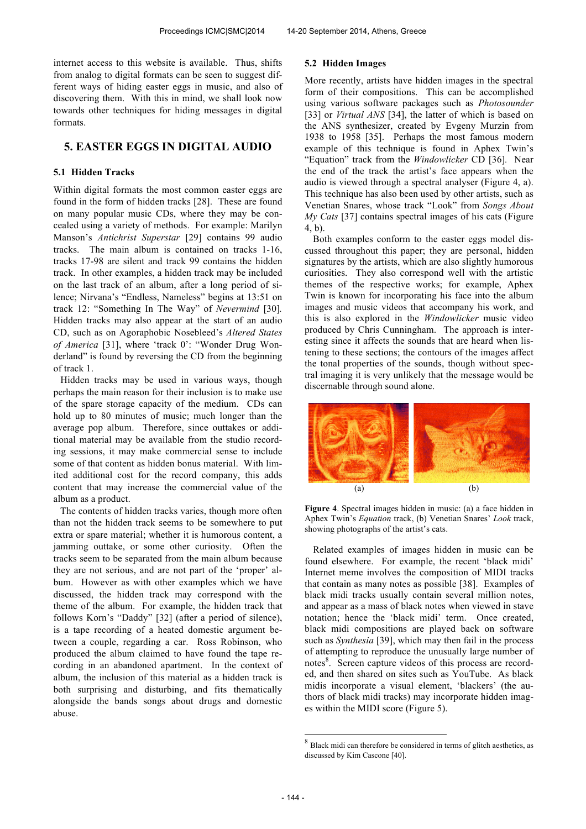internet access to this website is available. Thus, shifts from analog to digital formats can be seen to suggest different ways of hiding easter eggs in music, and also of discovering them. With this in mind, we shall look now towards other techniques for hiding messages in digital formats.

# **5. EASTER EGGS IN DIGITAL AUDIO**

### **5.1 Hidden Tracks**

Within digital formats the most common easter eggs are found in the form of hidden tracks [28]. These are found on many popular music CDs, where they may be concealed using a variety of methods. For example: Marilyn Manson's *Antichrist Superstar* [29] contains 99 audio tracks. The main album is contained on tracks 1-16, tracks 17-98 are silent and track 99 contains the hidden track. In other examples, a hidden track may be included on the last track of an album, after a long period of silence; Nirvana's "Endless, Nameless" begins at 13:51 on track 12: "Something In The Way" of *Nevermind* [30]*.*  Hidden tracks may also appear at the start of an audio CD, such as on Agoraphobic Nosebleed's *Altered States of America* [31], where 'track 0': "Wonder Drug Wonderland" is found by reversing the CD from the beginning of track 1.

Hidden tracks may be used in various ways, though perhaps the main reason for their inclusion is to make use of the spare storage capacity of the medium. CDs can hold up to 80 minutes of music; much longer than the average pop album. Therefore, since outtakes or additional material may be available from the studio recording sessions, it may make commercial sense to include some of that content as hidden bonus material. With limited additional cost for the record company, this adds content that may increase the commercial value of the album as a product.

The contents of hidden tracks varies, though more often than not the hidden track seems to be somewhere to put extra or spare material; whether it is humorous content, a jamming outtake, or some other curiosity. Often the tracks seem to be separated from the main album because they are not serious, and are not part of the 'proper' album. However as with other examples which we have discussed, the hidden track may correspond with the theme of the album. For example, the hidden track that follows Korn's "Daddy" [32] (after a period of silence), is a tape recording of a heated domestic argument between a couple, regarding a car. Ross Robinson, who produced the album claimed to have found the tape recording in an abandoned apartment. In the context of album, the inclusion of this material as a hidden track is both surprising and disturbing, and fits thematically alongside the bands songs about drugs and domestic abuse.

#### **5.2 Hidden Images**

More recently, artists have hidden images in the spectral form of their compositions. This can be accomplished using various software packages such as *Photosounder*  [33] or *Virtual ANS* [34], the latter of which is based on the ANS synthesizer, created by Evgeny Murzin from 1938 to 1958 [35]. Perhaps the most famous modern example of this technique is found in Aphex Twin's "Equation" track from the *Windowlicker* CD [36]*.* Near the end of the track the artist's face appears when the audio is viewed through a spectral analyser (Figure 4, a). This technique has also been used by other artists, such as Venetian Snares, whose track "Look" from *Songs About My Cats* [37] contains spectral images of his cats (Figure 4, b).

Both examples conform to the easter eggs model discussed throughout this paper; they are personal, hidden signatures by the artists, which are also slightly humorous curiosities. They also correspond well with the artistic themes of the respective works; for example, Aphex Twin is known for incorporating his face into the album images and music videos that accompany his work, and this is also explored in the *Windowlicker* music video produced by Chris Cunningham. The approach is interesting since it affects the sounds that are heard when listening to these sections; the contours of the images affect the tonal properties of the sounds, though without spectral imaging it is very unlikely that the message would be discernable through sound alone.



**Figure 4**. Spectral images hidden in music: (a) a face hidden in Aphex Twin's *Equation* track, (b) Venetian Snares' *Look* track, showing photographs of the artist's cats.

Related examples of images hidden in music can be found elsewhere. For example, the recent 'black midi' Internet meme involves the composition of MIDI tracks that contain as many notes as possible [38]. Examples of black midi tracks usually contain several million notes, and appear as a mass of black notes when viewed in stave notation; hence the 'black midi' term. Once created, black midi compositions are played back on software such as *Synthesia* [39], which may then fail in the process of attempting to reproduce the unusually large number of notes<sup>8</sup>. Screen capture videos of this process are recorded, and then shared on sites such as YouTube. As black midis incorporate a visual element, 'blackers' (the authors of black midi tracks) may incorporate hidden images within the MIDI score (Figure 5).

 $\overline{a}$ 

 $8$  Black midi can therefore be considered in terms of glitch aesthetics, as discussed by Kim Cascone [40].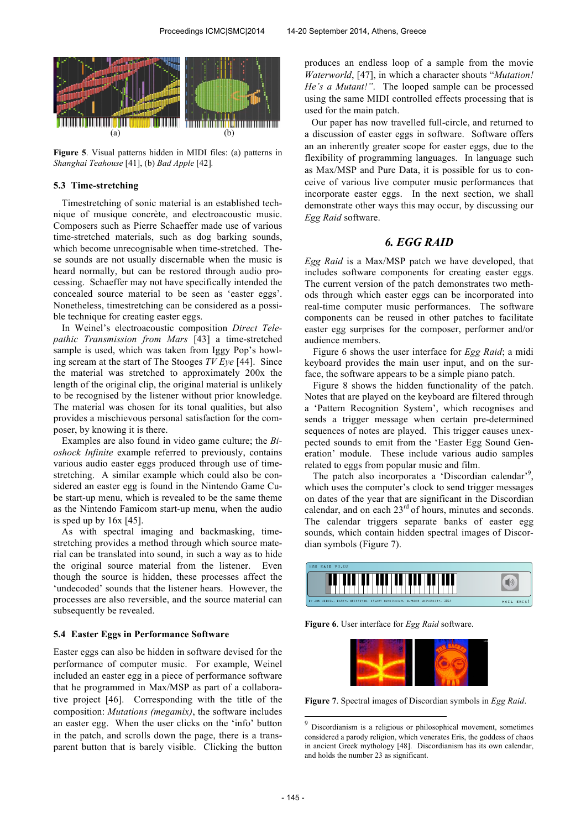

**Figure 5**. Visual patterns hidden in MIDI files: (a) patterns in *Shanghai Teahouse* [41], (b) *Bad Apple* [42]*.* 

### **5.3 Time-stretching**

Timestretching of sonic material is an established technique of musique concrète, and electroacoustic music. Composers such as Pierre Schaeffer made use of various time-stretched materials, such as dog barking sounds, which become unrecognisable when time-stretched. These sounds are not usually discernable when the music is heard normally, but can be restored through audio processing. Schaeffer may not have specifically intended the concealed source material to be seen as 'easter eggs'. Nonetheless, timestretching can be considered as a possible technique for creating easter eggs.

In Weinel's electroacoustic composition *Direct Telepathic Transmission from Mars* [43] a time-stretched sample is used, which was taken from Iggy Pop's howling scream at the start of The Stooges *TV Eye* [44]. Since the material was stretched to approximately 200x the length of the original clip, the original material is unlikely to be recognised by the listener without prior knowledge. The material was chosen for its tonal qualities, but also provides a mischievous personal satisfaction for the composer, by knowing it is there.

Examples are also found in video game culture; the *Bioshock Infinite* example referred to previously, contains various audio easter eggs produced through use of timestretching. A similar example which could also be considered an easter egg is found in the Nintendo Game Cube start-up menu, which is revealed to be the same theme as the Nintendo Famicom start-up menu, when the audio is sped up by 16x [45].

As with spectral imaging and backmasking, timestretching provides a method through which source material can be translated into sound, in such a way as to hide the original source material from the listener. Even though the source is hidden, these processes affect the 'undecoded' sounds that the listener hears. However, the processes are also reversible, and the source material can subsequently be revealed.

#### **5.4 Easter Eggs in Performance Software**

Easter eggs can also be hidden in software devised for the performance of computer music. For example, Weinel included an easter egg in a piece of performance software that he programmed in Max/MSP as part of a collaborative project [46]. Corresponding with the title of the composition: *Mutations (megamix)*, the software includes an easter egg. When the user clicks on the 'info' button in the patch, and scrolls down the page, there is a transparent button that is barely visible. Clicking the button

produces an endless loop of a sample from the movie *Waterworld*, [47], in which a character shouts "*Mutation! He's a Mutant!"*. The looped sample can be processed using the same MIDI controlled effects processing that is used for the main patch.

Our paper has now travelled full-circle, and returned to a discussion of easter eggs in software. Software offers an an inherently greater scope for easter eggs, due to the flexibility of programming languages. In language such as Max/MSP and Pure Data, it is possible for us to conceive of various live computer music performances that incorporate easter eggs. In the next section, we shall demonstrate other ways this may occur, by discussing our *Egg Raid* software.

# *6. EGG RAID*

*Egg Raid* is a Max/MSP patch we have developed, that includes software components for creating easter eggs. The current version of the patch demonstrates two methods through which easter eggs can be incorporated into real-time computer music performances. The software components can be reused in other patches to facilitate easter egg surprises for the composer, performer and/or audience members.

Figure 6 shows the user interface for *Egg Raid*; a midi keyboard provides the main user input, and on the surface, the software appears to be a simple piano patch.

Figure 8 shows the hidden functionality of the patch. Notes that are played on the keyboard are filtered through a 'Pattern Recognition System', which recognises and sends a trigger message when certain pre-determined sequences of notes are played. This trigger causes unexpected sounds to emit from the 'Easter Egg Sound Generation' module. These include various audio samples related to eggs from popular music and film.

The patch also incorporates a 'Discordian calendar'<sup>9</sup> , which uses the computer's clock to send trigger messages on dates of the year that are significant in the Discordian calendar, and on each 23<sup>rd</sup> of hours, minutes and seconds. The calendar triggers separate banks of easter egg sounds, which contain hidden spectral images of Discordian symbols (Figure 7).



**Figure 6**. User interface for *Egg Raid* software.

**Figure 7**. Spectral images of Discordian symbols in *Egg Raid*.

 $\overline{a}$ 

<sup>9</sup> Discordianism is a religious or philosophical movement, sometimes considered a parody religion, which venerates Eris, the goddess of chaos in ancient Greek mythology [48]. Discordianism has its own calendar, and holds the number 23 as significant.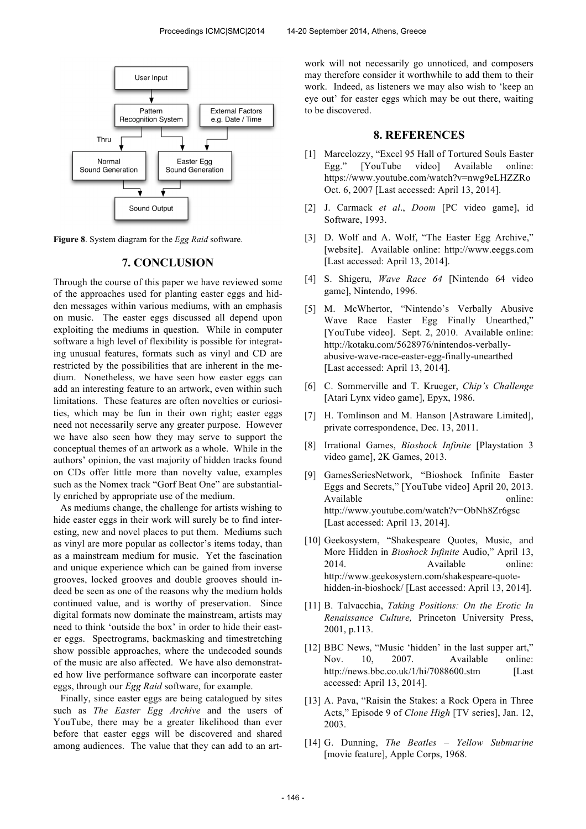

**Figure 8**. System diagram for the *Egg Raid* software.

### **7. CONCLUSION**

Through the course of this paper we have reviewed some of the approaches used for planting easter eggs and hidden messages within various mediums, with an emphasis on music. The easter eggs discussed all depend upon exploiting the mediums in question. While in computer software a high level of flexibility is possible for integrating unusual features, formats such as vinyl and CD are restricted by the possibilities that are inherent in the medium. Nonetheless, we have seen how easter eggs can add an interesting feature to an artwork, even within such limitations. These features are often novelties or curiosities, which may be fun in their own right; easter eggs need not necessarily serve any greater purpose. However we have also seen how they may serve to support the conceptual themes of an artwork as a whole. While in the authors' opinion, the vast majority of hidden tracks found on CDs offer little more than novelty value, examples such as the Nomex track "Gorf Beat One" are substantially enriched by appropriate use of the medium.

As mediums change, the challenge for artists wishing to hide easter eggs in their work will surely be to find interesting, new and novel places to put them. Mediums such as vinyl are more popular as collector's items today, than as a mainstream medium for music. Yet the fascination and unique experience which can be gained from inverse grooves, locked grooves and double grooves should indeed be seen as one of the reasons why the medium holds continued value, and is worthy of preservation. Since digital formats now dominate the mainstream, artists may need to think 'outside the box' in order to hide their easter eggs. Spectrograms, backmasking and timestretching show possible approaches, where the undecoded sounds of the music are also affected. We have also demonstrated how live performance software can incorporate easter eggs, through our *Egg Raid* software, for example.

Finally, since easter eggs are being catalogued by sites such as *The Easter Egg Archive* and the users of YouTube, there may be a greater likelihood than ever before that easter eggs will be discovered and shared among audiences. The value that they can add to an artwork will not necessarily go unnoticed, and composers may therefore consider it worthwhile to add them to their work. Indeed, as listeners we may also wish to 'keep an eye out' for easter eggs which may be out there, waiting to be discovered.

# **8. REFERENCES**

- [1] Marcelozzy, "Excel 95 Hall of Tortured Souls Easter Egg." [YouTube video] Available online: https://www.youtube.com/watch?v=nwg9eLHZZRo Oct. 6, 2007 [Last accessed: April 13, 2014].
- [2] J. Carmack *et al*., *Doom* [PC video game], id Software, 1993.
- [3] D. Wolf and A. Wolf, "The Easter Egg Archive," [website]. Available online: http://www.eeggs.com [Last accessed: April 13, 2014].
- [4] S. Shigeru, *Wave Race 64* [Nintendo 64 video game], Nintendo, 1996.
- [5] M. McWhertor, "Nintendo's Verbally Abusive Wave Race Easter Egg Finally Unearthed," [YouTube video]. Sept. 2, 2010. Available online: http://kotaku.com/5628976/nintendos-verballyabusive-wave-race-easter-egg-finally-unearthed [Last accessed: April 13, 2014].
- [6] C. Sommerville and T. Krueger, *Chip's Challenge* [Atari Lynx video game], Epyx, 1986.
- [7] H. Tomlinson and M. Hanson [Astraware Limited], private correspondence, Dec. 13, 2011.
- [8] Irrational Games, *Bioshock Infinite* [Playstation 3 video game], 2K Games, 2013.
- [9] GamesSeriesNetwork, "Bioshock Infinite Easter Eggs and Secrets," [YouTube video] April 20, 2013. Available online: http://www.youtube.com/watch?v=ObNh8Zr6gsc [Last accessed: April 13, 2014].
- [10] Geekosystem, "Shakespeare Quotes, Music, and More Hidden in *Bioshock Infinite* Audio," April 13, 2014. Available online: http://www.geekosystem.com/shakespeare-quotehidden-in-bioshock/ [Last accessed: April 13, 2014].
- [11] B. Talvacchia, *Taking Positions: On the Erotic In Renaissance Culture,* Princeton University Press, 2001, p.113.
- [12] BBC News, "Music 'hidden' in the last supper art," Nov. 10, 2007. Available online: http://news.bbc.co.uk/1/hi/7088600.stm [Last] accessed: April 13, 2014].
- [13] A. Pava, "Raisin the Stakes: a Rock Opera in Three Acts," Episode 9 of *Clone High* [TV series], Jan. 12, 2003.
- [14] G. Dunning, *The Beatles Yellow Submarine* [movie feature], Apple Corps, 1968.